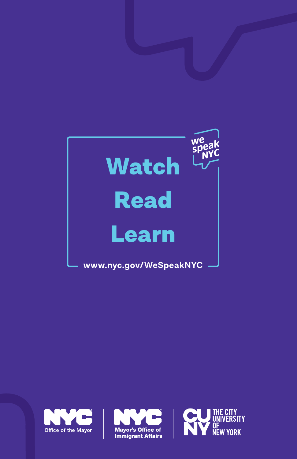





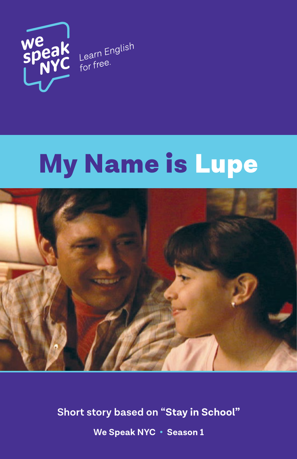

# My Name is Lupe



**Short story based on "Stay in School" We Speak NYC • Season 1**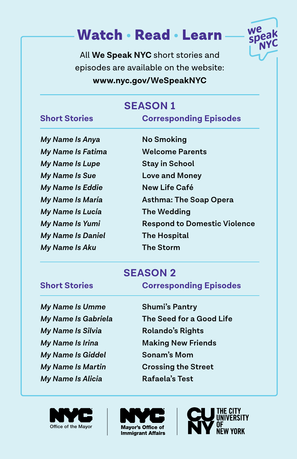## Watch • Read • Learn



All **We Speak NYC** short stories and episodes are available on the website: **www.nyc.gov/WeSpeakNYC**

## **SeaSON 1**

#### **Short Stories Corresponding Episodes**

*My Name Is Anya* **No Smoking** *My Name Is Fatima* **Welcome Parents** *My Name Is Lupe* **Stay in School** *My Name Is Sue* **Love and Money** *My Name Is Eddie* **New Life Café** *My Name Is Lucía* **The Wedding** *My Name Is Daniel* **The Hospital** *My Name Is Aku* **The Storm**

*My Name Is María* **Asthma: The Soap Opera** *My Name Is Yumi* **Respond to Domestic Violence**

### **SeaSON 2**

**Short Stories Corresponding Episodes** 

- *My Name Is Umme* **Shumi's Pantry** *My Name Is Silvia* **Rolando's Rights** *My Name Is Giddel* **Sonam's Mom** *My Name Is Alicia* Rafaela's Test
- *My Name Is Gabriela* **The Seed for a Good Life** *My Name Is Irina* **Making New Friends** *My Name Is Martin* **Crossing the Street**





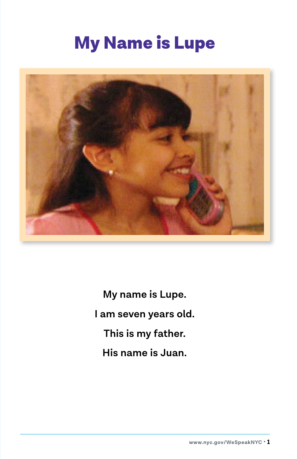## My Name is Lupe



**My name is Lupe. I am seven years old. This is my father. His name is Juan.**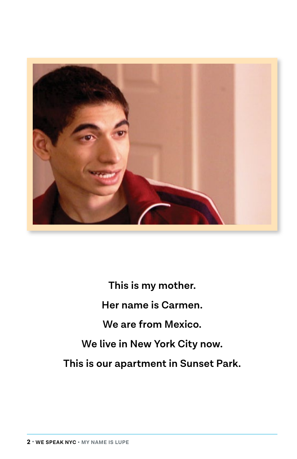

**This is my mother. Her name is Carmen. We are from Mexico. We live in New York City now. This is our apartment in Sunset Park.**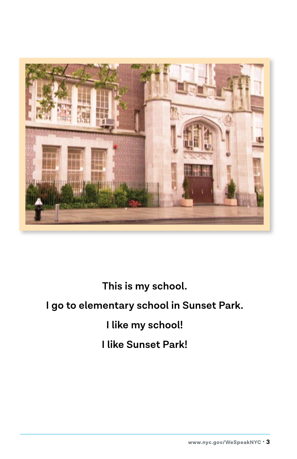

**This is my school.**

### **I go to elementary school in Sunset Park.**

## **I like my school!**

## **I like Sunset Park!**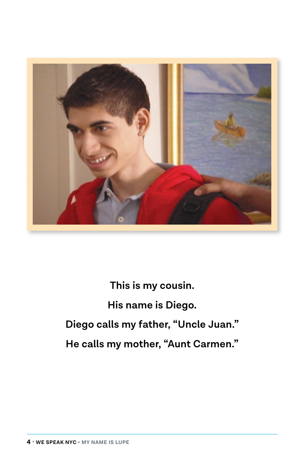

**This is my cousin. His name is Diego. Diego calls my father, "Uncle Juan." He calls my mother, "Aunt Carmen."**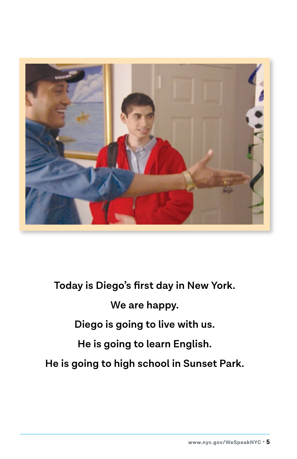

**Today is Diego's first day in New York. We are happy. Diego is going to live with us. He is going to learn English. He is going to high school in Sunset Park.**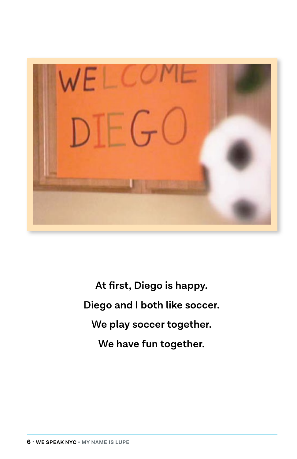

**At first, Diego is happy. Diego and I both like soccer. We play soccer together. We have fun together.**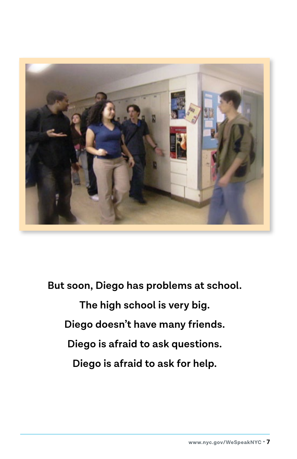

**But soon, Diego has problems at school. The high school is very big. Diego doesn't have many friends. Diego is afraid to ask questions. Diego is afraid to ask for help.**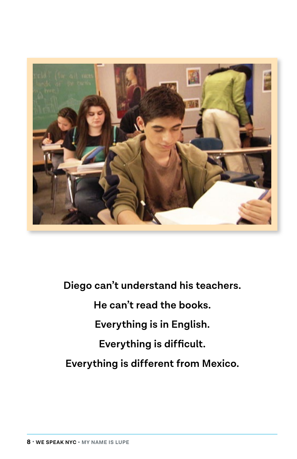

**Diego can't understand his teachers. He can't read the books. Everything is in English. Everything is difficult. Everything is different from Mexico.**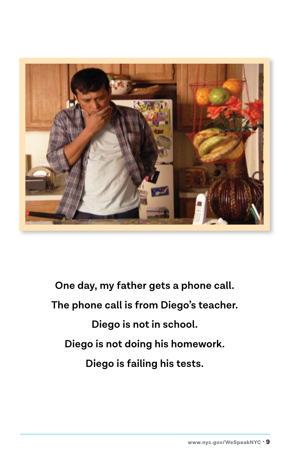

**One day, my father gets a phone call. The phone call is from Diego's teacher. Diego is not in school. Diego is not doing his homework. Diego is failing his tests.**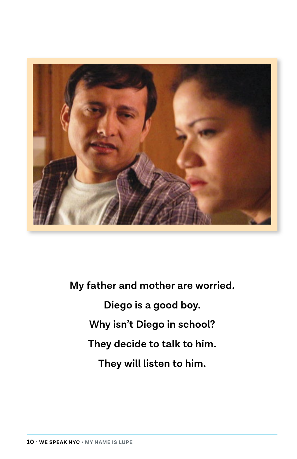

**My father and mother are worried. Diego is a good boy. Why isn't Diego in school? They decide to talk to him. They will listen to him.**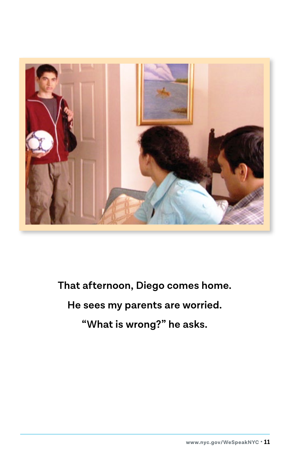

**That afternoon, Diego comes home.**

### **He sees my parents are worried.**

**"What is wrong?" he asks.**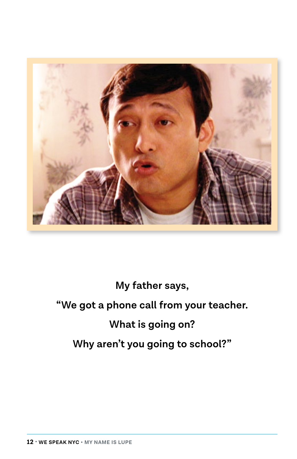

## **My father says, "We got a phone call from your teacher. What is going on? Why aren't you going to school?"**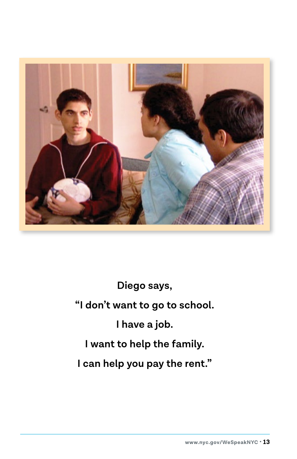

**Diego says, "I don't want to go to school. I have a job. I want to help the family. I can help you pay the rent."**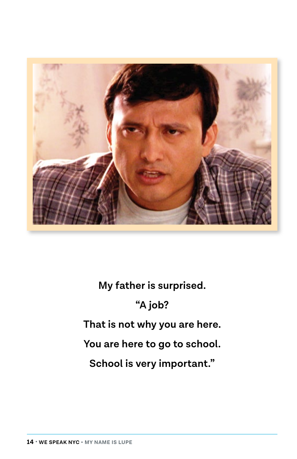

**My father is surprised. "A job? That is not why you are here. You are here to go to school. School is very important."**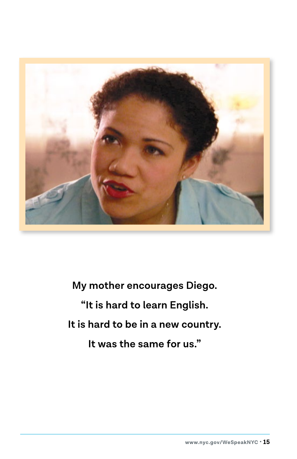

**My mother encourages Diego. "It is hard to learn English. It is hard to be in a new country. It was the same for us."**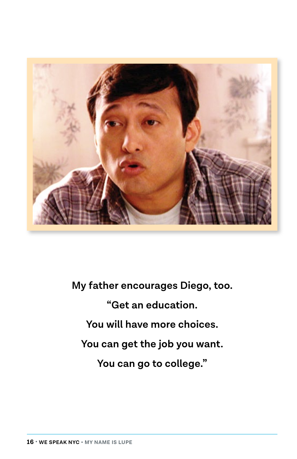

**My father encourages Diego, too. "Get an education. You will have more choices. You can get the job you want. You can go to college."**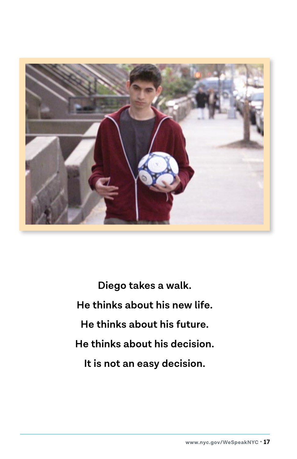

**Diego takes a walk. He thinks about his new life. He thinks about his future. He thinks about his decision. It is not an easy decision.**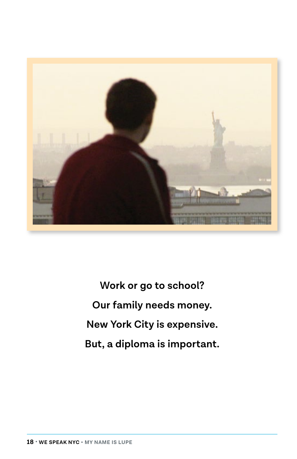

**Work or go to school? Our family needs money. New York City is expensive. But, a diploma is important.**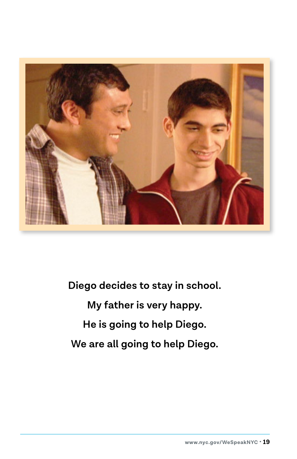

**Diego decides to stay in school.**

**My father is very happy. He is going to help Diego.**

**We are all going to help Diego.**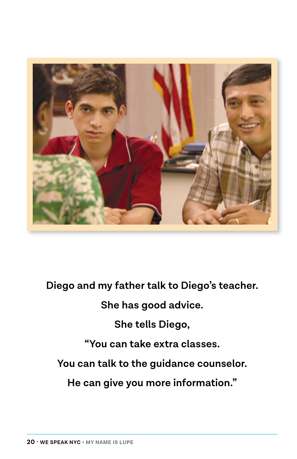

**Diego and my father talk to Diego's teacher.**

**She has good advice.**

**She tells Diego,**

**"You can take extra classes.**

**You can talk to the guidance counselor.**

**He can give you more information."**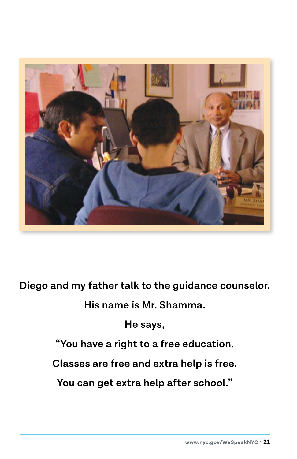

**Diego and my father talk to the guidance counselor.**

**His name is Mr. Shamma.**

**He says,**

**"You have a right to a free education.**

**Classes are free and extra help is free.**

**You can get extra help after school."**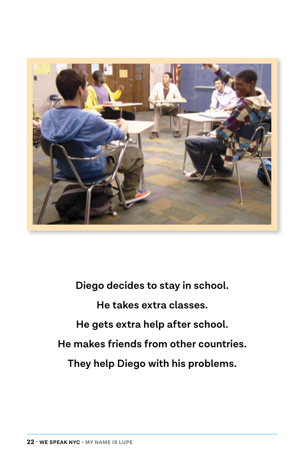

**Diego decides to stay in school. He takes extra classes. He gets extra help after school. He makes friends from other countries. They help Diego with his problems.**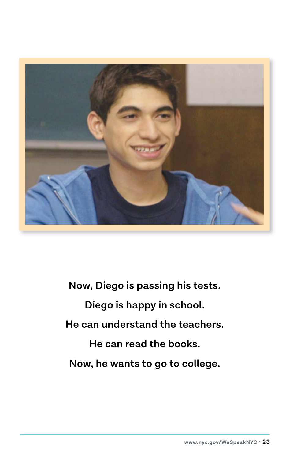

**Now, Diego is passing his tests. Diego is happy in school. He can understand the teachers. He can read the books. Now, he wants to go to college.**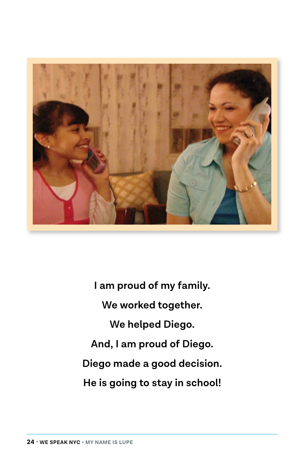

**I am proud of my family. We worked together. We helped Diego. And, I am proud of Diego. Diego made a good decision. He is going to stay in school!**